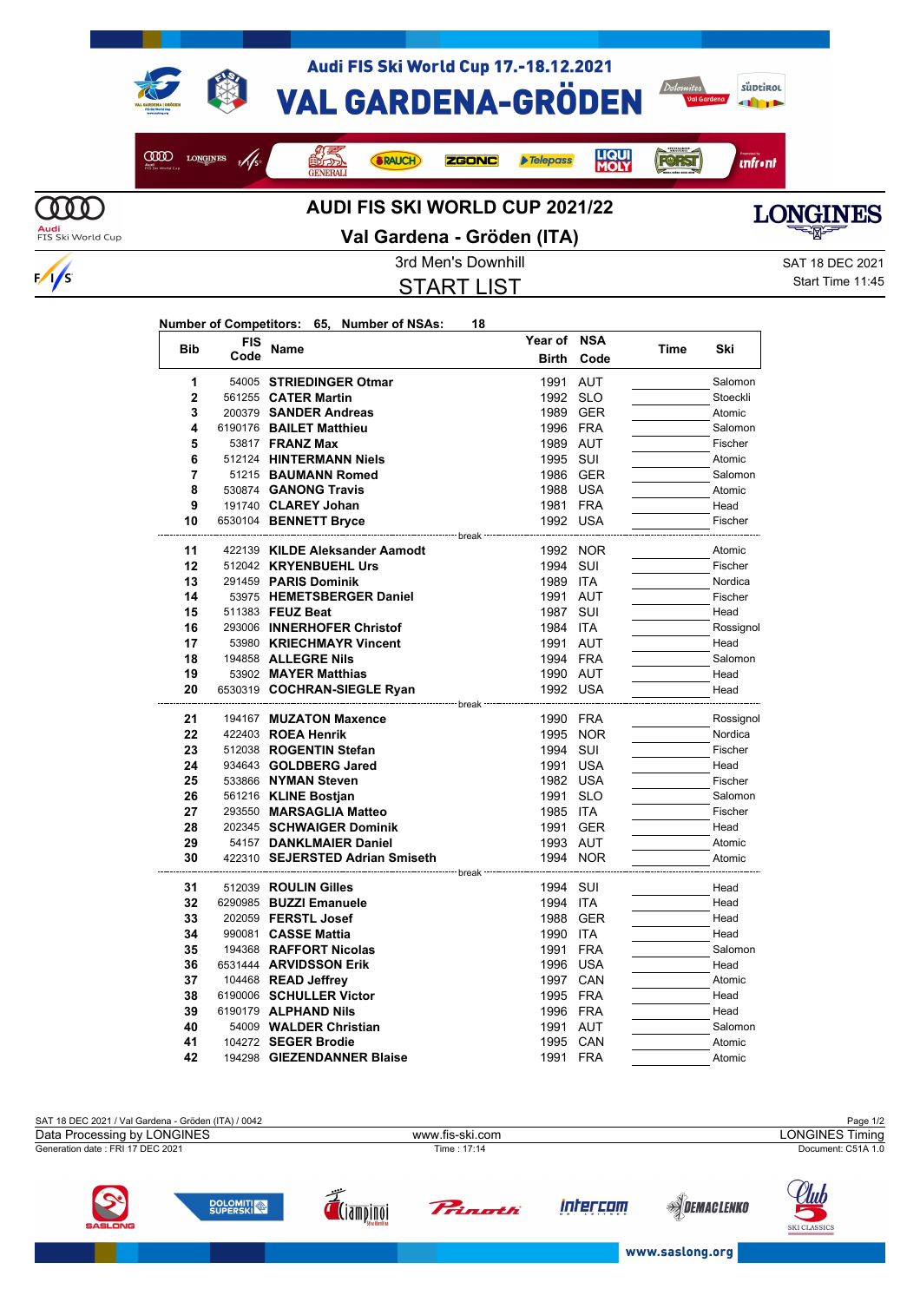

COOD LONGINES F/S

Audi FIS Ski World Cup 17.-18.12.2021 **VAL GARDENA-GRÖDEN** 

**ZGONC** 



*<u>infront</u>* 

**FORST** 

**LIQUI**<br>MOLY



## **AUDI FIS SKI WORLD CUP 2021/22**

**SRAUCH** 



**Audi**<br>FIS Ski World Cup

 $\frac{1}{s}$ 

## **Val Gardena - Gröden (ITA)**

START LIST

**Year of NSA**

Telepass

3rd Men's Downhill Saturation Control of the SAT 18 DEC 2021 Start Time 11:45

## **Number of Competitors: 65, Number of NSAs: 18**

**OFFICIAL** 

| <b>Bib</b>   | FIS  | <b>Name</b>                                       | Year of            | <b>NSA</b> | Time | Ski                |
|--------------|------|---------------------------------------------------|--------------------|------------|------|--------------------|
|              | Code |                                                   | <b>Birth</b>       | Code       |      |                    |
| 1            |      | 54005 STRIEDINGER Otmar                           | 1991               | <b>AUT</b> |      | Salomon            |
| $\mathbf{2}$ |      | 561255 <b>CATER Martin</b>                        | 1992 SLO           |            |      | Stoeckli           |
| 3            |      | 200379 SANDER Andreas                             | 1989 GER           |            |      | Atomic             |
| 4            |      | 6190176 BAILET Matthieu                           | 1996 FRA           |            |      | Salomon            |
| 5            |      | 53817 <b>FRANZ Max</b>                            | 1989 AUT           |            |      | Fischer            |
| 6            |      | 512124 HINTERMANN Niels                           | 1995 SUI           |            |      | Atomic             |
| 7            |      | 51215 BAUMANN Romed                               | 1986 GER           |            |      | Salomon            |
| 8            |      | 530874 GANONG Travis                              | 1988 USA           |            |      | Atomic             |
| 9            |      | 191740 CLAREY Johan                               | 1981 FRA           |            |      | Head               |
| 10           |      | 6530104 BENNETT Bryce<br>------------------ break | 1992 USA           |            |      | Fischer            |
| 11           |      | 422139 KILDE Aleksander Aamodt                    |                    | 1992 NOR   |      | Atomic             |
| 12           |      | 512042 KRYENBUEHL Urs                             | 1994 SUI           |            |      | Fischer            |
| 13           |      | 291459 PARIS Dominik                              | 1989 ITA           |            |      | Nordica            |
| 14           |      | 53975 HEMETSBERGER Daniel                         | 1991 AUT           |            |      | Fischer            |
| 15           |      | 511383 FEUZ Beat                                  | 1987 SUI           |            |      | Head               |
| 16           |      | 293006 INNERHOFER Christof                        | 1984 ITA           |            |      | Rossignol          |
| 17           |      | 53980 KRIECHMAYR Vincent                          | 1991 AUT           |            |      | Head               |
| 18           |      | 194858 ALLEGRE Nils                               | 1994 FRA           |            |      | Salomon            |
| 19           |      | 53902 MAYER Matthias                              | 1990 AUT           |            |      | Head               |
| 20           |      | 6530319 COCHRAN-SIEGLE Ryan                       | 1992 USA           |            |      | Head               |
| 21           |      |                                                   | --------- break -- |            |      |                    |
| 22           |      | 194167 MUZATON Maxence<br>422403 ROEA Henrik      | 1990 FRA           | 1995 NOR   |      | Rossignol          |
| 23           |      | 512038 ROGENTIN Stefan                            | 1994 SUI           |            |      | Nordica<br>Fischer |
| 24           |      | 934643 GOLDBERG Jared                             | 1991 USA           |            |      | Head               |
| 25           |      | 533866 NYMAN Steven                               | 1982 USA           |            |      | Fischer            |
| 26           |      | 561216 KLINE Bostjan                              | 1991               | <b>SLO</b> |      | Salomon            |
| 27           |      | 293550 MARSAGLIA Matteo                           | 1985 ITA           |            |      | Fischer            |
| 28           |      | 202345 SCHWAIGER Dominik                          |                    | 1991 GER   |      | Head               |
| 29           |      | 54157 DANKLMAIER Daniel                           | 1993 AUT           |            |      | Atomic             |
| 30           |      | 422310 SEJERSTED Adrian Smiseth                   | 1994 NOR           |            |      | Atomic             |
|              |      | ------------------------- break --                |                    |            |      |                    |
| 31           |      | 512039 ROULIN Gilles                              | 1994 SUI           |            |      | Head               |
| 32           |      | 6290985 BUZZI Emanuele                            | 1994 ITA           |            |      | Head               |
| 33           |      | 202059 FERSTL Josef                               |                    | 1988 GER   |      | Head               |
| 34           |      | 990081 <b>CASSE Mattia</b>                        | 1990 ITA           |            |      | Head               |
| 35           |      | 194368 RAFFORT Nicolas                            | 1991               | <b>FRA</b> |      | Salomon            |
| 36           |      | 6531444 ARVIDSSON Erik                            | 1996 USA           |            |      | Head               |
| 37           |      | 104468 READ Jeffrey                               | 1997 CAN           |            |      | Atomic             |
| 38           |      | 6190006 SCHULLER Victor                           | 1995 FRA           |            |      | Head               |
| 39           |      | 6190179 ALPHAND Nils                              | 1996 FRA           |            |      | Head               |
| 40           |      | 54009 WALDER Christian                            | 1991               | <b>AUT</b> |      | Salomon            |
| 41           |      | 104272 SEGER Brodie                               | 1995 CAN           |            |      | Atomic             |
| 42           |      | 194298 GIEZENDANNER Blaise                        | 1991               | <b>FRA</b> |      | Atomic             |







Ы SKI CLASSICS